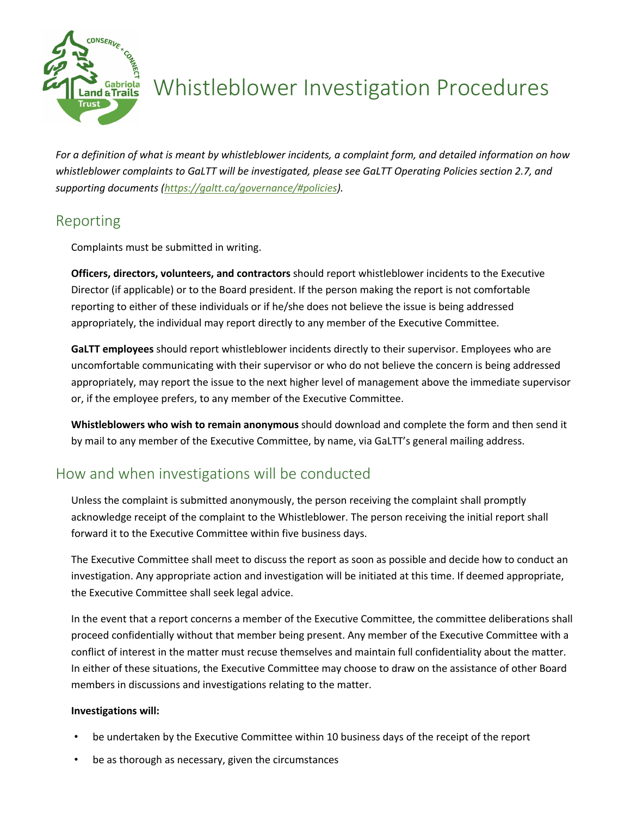

# Whistleblower Investigation Procedures

*For a definition of what is meant by whistleblower incidents, a complaint form, and detailed information on how whistleblower complaints to GaLTT will be investigated, please see GaLTT Operating Policies section 2.7, and supporting documents (https://galtt.ca/governance/#policies).*

# Reporting

Complaints must be submitted in writing.

**Officers, directors, volunteers, and contractors** should report whistleblower incidents to the Executive Director (if applicable) or to the Board president. If the person making the report is not comfortable reporting to either of these individuals or if he/she does not believe the issue is being addressed appropriately, the individual may report directly to any member of the Executive Committee.

**GaLTT employees** should report whistleblower incidents directly to their supervisor. Employees who are uncomfortable communicating with their supervisor or who do not believe the concern is being addressed appropriately, may report the issue to the next higher level of management above the immediate supervisor or, if the employee prefers, to any member of the Executive Committee.

**Whistleblowers who wish to remain anonymous** should download and complete the form and then send it by mail to any member of the Executive Committee, by name, via GaLTT's general mailing address.

# How and when investigations will be conducted

Unless the complaint is submitted anonymously, the person receiving the complaint shall promptly acknowledge receipt of the complaint to the Whistleblower. The person receiving the initial report shall forward it to the Executive Committee within five business days.

The Executive Committee shall meet to discuss the report as soon as possible and decide how to conduct an investigation. Any appropriate action and investigation will be initiated at this time. If deemed appropriate, the Executive Committee shall seek legal advice.

In the event that a report concerns a member of the Executive Committee, the committee deliberations shall proceed confidentially without that member being present. Any member of the Executive Committee with a conflict of interest in the matter must recuse themselves and maintain full confidentiality about the matter. In either of these situations, the Executive Committee may choose to draw on the assistance of other Board members in discussions and investigations relating to the matter.

#### **Investigations will:**

- be undertaken by the Executive Committee within 10 business days of the receipt of the report
- be as thorough as necessary, given the circumstances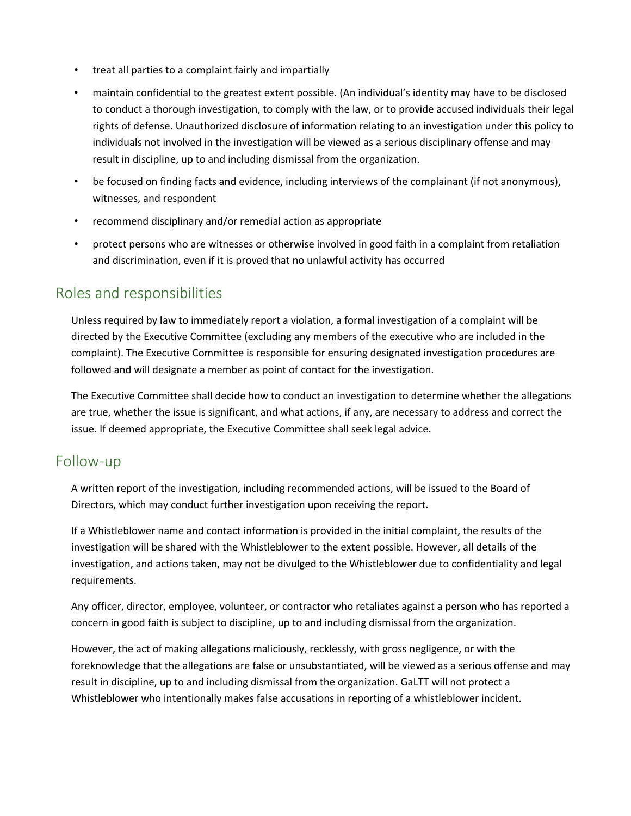- treat all parties to a complaint fairly and impartially
- maintain confidential to the greatest extent possible. (An individual's identity may have to be disclosed to conduct a thorough investigation, to comply with the law, or to provide accused individuals their legal rights of defense. Unauthorized disclosure of information relating to an investigation under this policy to individuals not involved in the investigation will be viewed as a serious disciplinary offense and may result in discipline, up to and including dismissal from the organization.
- be focused on finding facts and evidence, including interviews of the complainant (if not anonymous), witnesses, and respondent
- recommend disciplinary and/or remedial action as appropriate
- protect persons who are witnesses or otherwise involved in good faith in a complaint from retaliation and discrimination, even if it is proved that no unlawful activity has occurred

### Roles and responsibilities

Unless required by law to immediately report a violation, a formal investigation of a complaint will be directed by the Executive Committee (excluding any members of the executive who are included in the complaint). The Executive Committee is responsible for ensuring designated investigation procedures are followed and will designate a member as point of contact for the investigation.

The Executive Committee shall decide how to conduct an investigation to determine whether the allegations are true, whether the issue is significant, and what actions, if any, are necessary to address and correct the issue. If deemed appropriate, the Executive Committee shall seek legal advice.

## Follow-up

A written report of the investigation, including recommended actions, will be issued to the Board of Directors, which may conduct further investigation upon receiving the report.

If a Whistleblower name and contact information is provided in the initial complaint, the results of the investigation will be shared with the Whistleblower to the extent possible. However, all details of the investigation, and actions taken, may not be divulged to the Whistleblower due to confidentiality and legal requirements.

Any officer, director, employee, volunteer, or contractor who retaliates against a person who has reported a concern in good faith is subject to discipline, up to and including dismissal from the organization.

However, the act of making allegations maliciously, recklessly, with gross negligence, or with the foreknowledge that the allegations are false or unsubstantiated, will be viewed as a serious offense and may result in discipline, up to and including dismissal from the organization. GaLTT will not protect a Whistleblower who intentionally makes false accusations in reporting of a whistleblower incident.